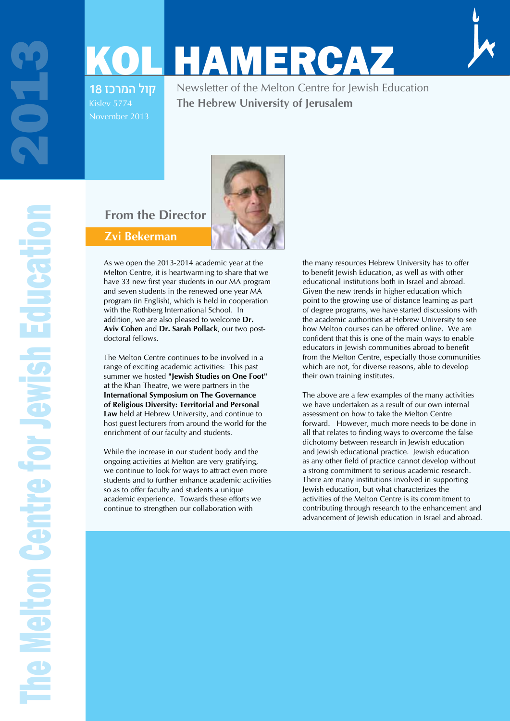# L HAMERCAZ קול המרכז 18



The Melton Centre for Jewish Education 20123 **Gantre Oile** 

#### Newsletter of the Melton Centre for Jewish Education **The Hebrew University of Jerusalem**



# **From the Director**

#### **Zvi Bekerman**

Kislev 5774

As we open the 2013-2014 academic year at the Melton Centre, it is heartwarming to share that we have 33 new first year students in our MA program and seven students in the renewed one year MA program (in English), which is held in cooperation with the Rothberg International School. In addition, we are also pleased to welcome **Dr. Aviv Cohen** and **Dr. Sarah Pollack**, our two postdoctoral fellows.

The Melton Centre continues to be involved in a range of exciting academic activities: This past summer we hosted **"Jewish Studies on One Foot"** at the Khan Theatre, we were partners in the **International Symposium on The Governance of Religious Diversity: Territorial and Personal Law** held at Hebrew University, and continue to host guest lecturers from around the world for the enrichment of our faculty and students.

While the increase in our student body and the ongoing activities at Melton are very gratifying, we continue to look for ways to attract even more students and to further enhance academic activities so as to offer faculty and students a unique academic experience. Towards these efforts we continue to strengthen our collaboration with

the many resources Hebrew University has to offer to benefit Jewish Education, as well as with other educational institutions both in Israel and abroad. Given the new trends in higher education which point to the growing use of distance learning as part of degree programs, we have started discussions with the academic authorities at Hebrew University to see how Melton courses can be offered online. We are confident that this is one of the main ways to enable educators in Jewish communities abroad to benefit from the Melton Centre, especially those communities which are not, for diverse reasons, able to develop their own training institutes.

The above are a few examples of the many activities we have undertaken as a result of our own internal assessment on how to take the Melton Centre forward. However, much more needs to be done in all that relates to finding ways to overcome the false dichotomy between research in Jewish education and Jewish educational practice. Jewish education as any other field of practice cannot develop without a strong commitment to serious academic research. There are many institutions involved in supporting Jewish education, but what characterizes the activities of the Melton Centre is its commitment to contributing through research to the enhancement and advancement of Jewish education in Israel and abroad.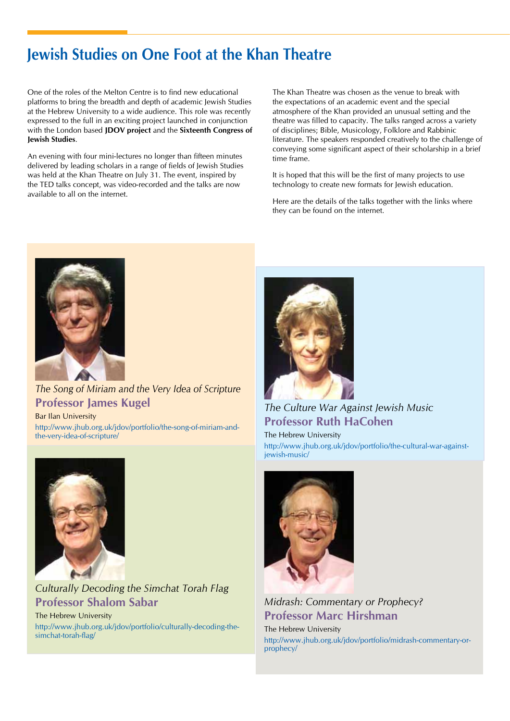# **Jewish Studies on One Foot at the Khan Theatre**

One of the roles of the Melton Centre is to find new educational platforms to bring the breadth and depth of academic Jewish Studies at the Hebrew University to a wide audience. This role was recently expressed to the full in an exciting project launched in conjunction with the London based **JDOV project** and the **Sixteenth Congress of Jewish Studies**.

An evening with four mini-lectures no longer than fifteen minutes delivered by leading scholars in a range of fields of Jewish Studies was held at the Khan Theatre on July 31. The event, inspired by the TED talks concept, was video-recorded and the talks are now available to all on the internet.

The Khan Theatre was chosen as the venue to break with the expectations of an academic event and the special atmosphere of the Khan provided an unusual setting and the theatre was filled to capacity. The talks ranged across a variety of disciplines; Bible, Musicology, Folklore and Rabbinic literature. The speakers responded creatively to the challenge of conveying some significant aspect of their scholarship in a brief time frame.

It is hoped that this will be the first of many projects to use technology to create new formats for Jewish education.

Here are the details of the talks together with the links where they can be found on the internet.



*The Song of Miriam and the Very Idea of Scripture* **Professor James Kugel** Bar Ilan University http://www.jhub.org.uk/jdov/portfolio/the-song-of-miriam-andthe-very-idea-of-scripture/



*The Culture War Against Jewish Music* **Professor Ruth HaCohen**

The Hebrew University http://www.jhub.org.uk/jdov/portfolio/the-cultural-war-againstjewish-music/



#### *Culturally Decoding the Simchat Torah Flag* **Professor Shalom Sabar**

The Hebrew University http://www.jhub.org.uk/jdov/portfolio/culturally-decoding-thesimchat-torah-flag/



#### *Midrash: Commentary or Prophecy?* **Professor Marc Hirshman**

The Hebrew University http://www.jhub.org.uk/jdov/portfolio/midrash-commentary-orprophecy/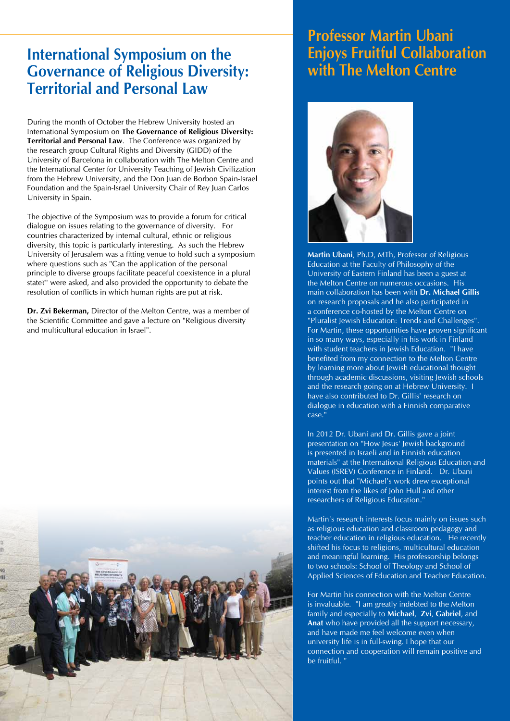### **International Symposium on the Governance of Religious Diversity: Territorial and Personal Law**

During the month of October the Hebrew University hosted an International Symposium on **The Governance of Religious Diversity: Territorial and Personal Law**. The Conference was organized by the research group Cultural Rights and Diversity (GIDD) of the University of Barcelona in collaboration with The Melton Centre and the International Center for University Teaching of Jewish Civilization from the Hebrew University, and the Don Juan de Borbon Spain-Israel Foundation and the Spain-Israel University Chair of Rey Juan Carlos University in Spain.

The objective of the Symposium was to provide a forum for critical dialogue on issues relating to the governance of diversity. For countries characterized by internal cultural, ethnic or religious diversity, this topic is particularly interesting. As such the Hebrew University of Jerusalem was a fitting venue to hold such a symposium where questions such as "Can the application of the personal principle to diverse groups facilitate peaceful coexistence in a plural state?" were asked, and also provided the opportunity to debate the resolution of conflicts in which human rights are put at risk.

**Dr. Zvi Bekerman,** Director of the Melton Centre, was a member of the Scientific Committee and gave a lecture on "Religious diversity and multicultural education in Israel".



# **Professor Martin Ubani Enjoys Fruitful Collaboration with The Melton Centre**



**Martin Ubani**, Ph.D, MTh, Professor of Religious Education at the Faculty of Philosophy of the University of Eastern Finland has been a guest at the Melton Centre on numerous occasions. His main collaboration has been with **Dr. Michael Gillis** on research proposals and he also participated in a conference co-hosted by the Melton Centre on "Pluralist Jewish Education: Trends and Challenges". For Martin, these opportunities have proven significant in so many ways, especially in his work in Finland with student teachers in Jewish Education. "I have benefited from my connection to the Melton Centre by learning more about Jewish educational thought through academic discussions, visiting Jewish schools and the research going on at Hebrew University. I have also contributed to Dr. Gillis' research on dialogue in education with a Finnish comparative case."

In 2012 Dr. Ubani and Dr. Gillis gave a joint presentation on "How Jesus' Jewish background is presented in Israeli and in Finnish education materials" at the International Religious Education and Values (ISREV) Conference in Finland. Dr. Ubani points out that "Michael's work drew exceptional interest from the likes of John Hull and other researchers of Religious Education."

Martin's research interests focus mainly on issues such as religious education and classroom pedagogy and teacher education in religious education. He recently shifted his focus to religions, multicultural education and meaningful learning. His professorship belongs to two schools: School of Theology and School of Applied Sciences of Education and Teacher Education.

For Martin his connection with the Melton Centre is invaluable. "I am greatly indebted to the Melton family and especially to **Michael**, **Zvi**, **Gabriel**, and **Anat** who have provided all the support necessary, and have made me feel welcome even when university life is in full-swing. I hope that our connection and cooperation will remain positive and be fruitful. "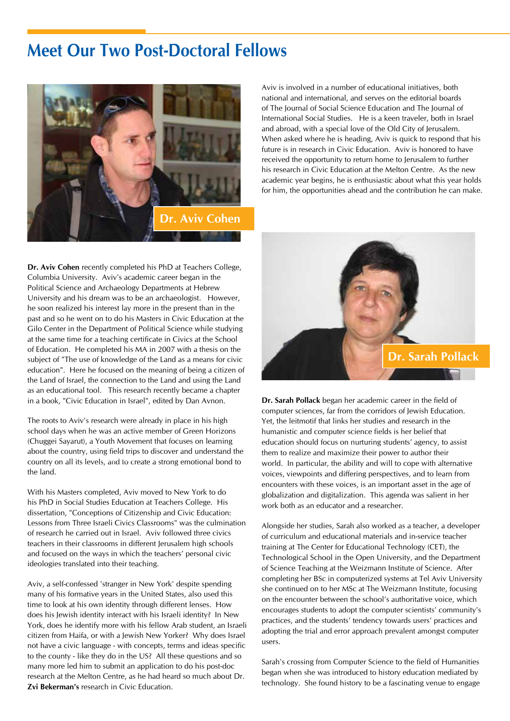# **Meet Our Two Post-Doctoral Fellows**



Aviv is involved in a number of educational initiatives, both national and international, and serves on the editorial boards of The Journal of Social Science Education and The Journal of International Social Studies. He is a keen traveler, both in Israel and abroad, with a special love of the Old City of Jerusalem. When asked where he is heading, Aviv is quick to respond that his future is in research in Civic Education. Aviv is honored to have received the opportunity to return home to Jerusalem to further his research in Civic Education at the Melton Centre. As the new academic year begins, he is enthusiastic about what this year holds for him, the opportunities ahead and the contribution he can make.

**Dr. Aviv Cohen** recently completed his PhD at Teachers College, Columbia University. Aviv's academic career began in the Political Science and Archaeology Departments at Hebrew University and his dream was to be an archaeologist. However, he soon realized his interest lay more in the present than in the past and so he went on to do his Masters in Civic Education at the Gilo Center in the Department of Political Science while studying at the same time for a teaching certificate in Civics at the School of Education. He completed his MA in 2007 with a thesis on the subject of "The use of knowledge of the Land as a means for civic education". Here he focused on the meaning of being a citizen of the Land of Israel, the connection to the Land and using the Land as an educational tool. This research recently became a chapter in a book, "Civic Education in Israel", edited by Dan Avnon.

The roots to Aviv's research were already in place in his high school days when he was an active member of Green Horizons (Chuggei Sayarut), a Youth Movement that focuses on learning about the country, using field trips to discover and understand the country on all its levels, and to create a strong emotional bond to the land.

With his Masters completed, Aviv moved to New York to do his PhD in Social Studies Education at Teachers College. His dissertation, "Conceptions of Citizenship and Civic Education: Lessons from Three Israeli Civics Classrooms" was the culmination of research he carried out in Israel. Aviv followed three civics teachers in their classrooms in different Jerusalem high schools and focused on the ways in which the teachers' personal civic ideologies translated into their teaching.

Aviv, a self-confessed 'stranger in New York' despite spending many of his formative years in the United States, also used this time to look at his own identity through different lenses. How does his Jewish identity interact with his Israeli identity? In New York, does he identify more with his fellow Arab student, an Israeli citizen from Haifa, or with a Jewish New Yorker? Why does Israel not have a civic language - with concepts, terms and ideas specific to the county - like they do in the US? All these questions and so many more led him to submit an application to do his post-doc research at the Melton Centre, as he had heard so much about Dr. **Zvi Bekerman's** research in Civic Education.



**Dr. Sarah Pollack** began her academic career in the field of computer sciences, far from the corridors of Jewish Education. Yet, the leitmotif that links her studies and research in the humanistic and computer science fields is her belief that education should focus on nurturing students' agency, to assist them to realize and maximize their power to author their world. In particular, the ability and will to cope with alternative voices, viewpoints and differing perspectives, and to learn from encounters with these voices, is an important asset in the age of globalization and digitalization. This agenda was salient in her work both as an educator and a researcher.

Alongside her studies, Sarah also worked as a teacher, a developer of curriculum and educational materials and in-service teacher training at The Center for Educational Technology (CET), the Technological School in the Open University, and the Department of Science Teaching at the Weizmann Institute of Science. After completing her BSc in computerized systems at Tel Aviv University she continued on to her MSc at The Weizmann Institute, focusing on the encounter between the school's authoritative voice, which encourages students to adopt the computer scientists' community's practices, and the students' tendency towards users' practices and adopting the trial and error approach prevalent amongst computer users.

Sarah's crossing from Computer Science to the field of Humanities began when she was introduced to history education mediated by technology. She found history to be a fascinating venue to engage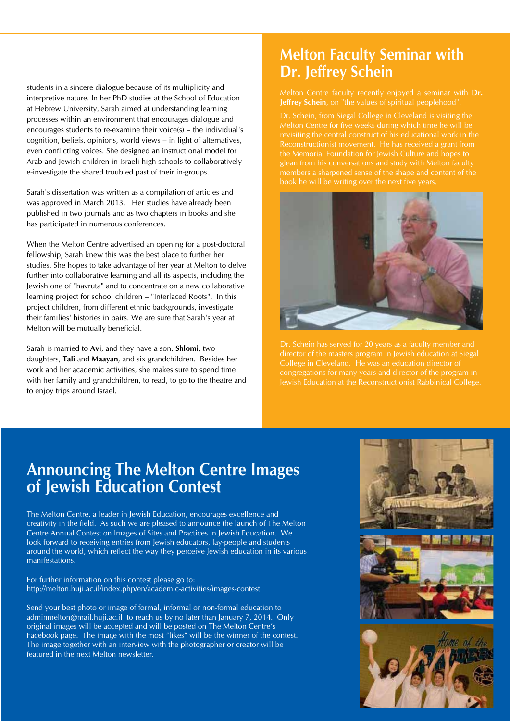students in a sincere dialogue because of its multiplicity and interpretive nature. In her PhD studies at the School of Education at Hebrew University, Sarah aimed at understanding learning processes within an environment that encourages dialogue and encourages students to re-examine their voice(s) – the individual's cognition, beliefs, opinions, world views – in light of alternatives, even conflicting voices. She designed an instructional model for Arab and Jewish children in Israeli high schools to collaboratively e-investigate the shared troubled past of their in-groups.

Sarah's dissertation was written as a compilation of articles and was approved in March 2013. Her studies have already been published in two journals and as two chapters in books and she has participated in numerous conferences.

When the Melton Centre advertised an opening for a post-doctoral fellowship, Sarah knew this was the best place to further her studies. She hopes to take advantage of her year at Melton to delve further into collaborative learning and all its aspects, including the Jewish one of "havruta" and to concentrate on a new collaborative learning project for school children – "Interlaced Roots". In this project children, from different ethnic backgrounds, investigate their families' histories in pairs. We are sure that Sarah's year at Melton will be mutually beneficial.

Sarah is married to **Avi**, and they have a son, **Shlomi**, two daughters, **Tali** and **Maayan**, and six grandchildren. Besides her work and her academic activities, she makes sure to spend time with her family and grandchildren, to read, to go to the theatre and to enjoy trips around Israel.

### **Melton Faculty Seminar with Dr. Jeffrey Schein**

Melton Centre faculty recently enjoyed a seminar with **Dr. Jeffrey Schein**, on "the values of spiritual peoplehood".



director of the masters program in Jewish education at Siegal College in Cleveland. He was an education director of congregations for many years and director of the program in Jewish Education at the Reconstructionist Rabbinical College.

# **Announcing The Melton Centre Images of Jewish Education Contest**

The Melton Centre, a leader in Jewish Education, encourages excellence and creativity in the field. As such we are pleased to announce the launch of The Melton Centre Annual Contest on Images of Sites and Practices in Jewish Education. We look forward to receiving entries from Jewish educators, lay-people and students around the world, which reflect the way they perceive Jewish education in its various manifestations.

For further information on this contest please go to: http://melton.huji.ac.il/index.php/en/academic-activities/images-contest

Send your best photo or image of formal, informal or non-formal education to adminmelton@mail.huji.ac.il to reach us by no later than January 7, 2014. Only original images will be accepted and will be posted on The Melton Centre's Facebook page. The image with the most "likes" will be the winner of the contest. The image together with an interview with the photographer or creator will be featured in the next Melton newsletter.